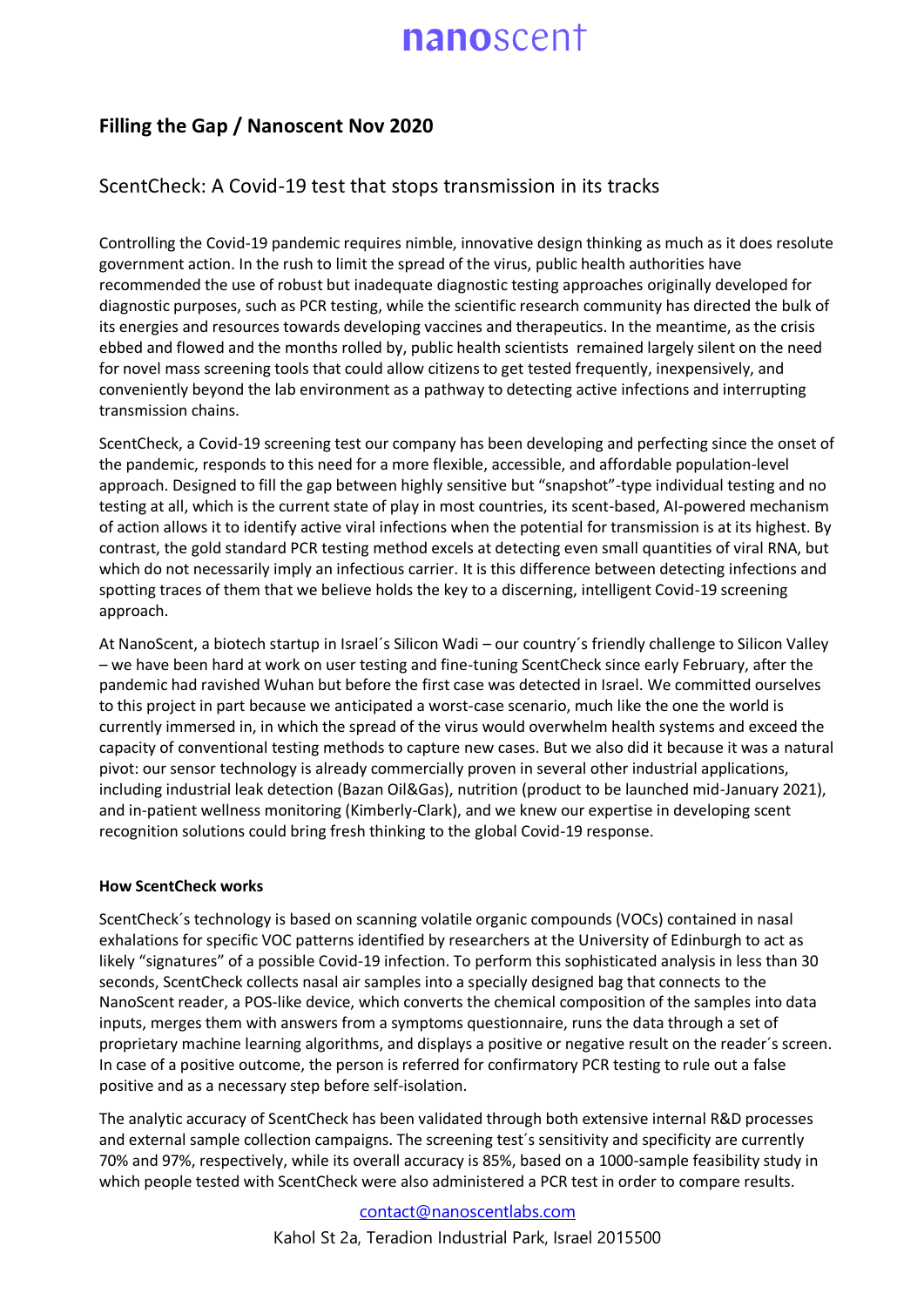## nanoscent

## **Filling the Gap / Nanoscent Nov 2020**

### ScentCheck: A Covid-19 test that stops transmission in its tracks

Controlling the Covid-19 pandemic requires nimble, innovative design thinking as much as it does resolute government action. In the rush to limit the spread of the virus, public health authorities have recommended the use of robust but inadequate diagnostic testing approaches originally developed for diagnostic purposes, such as PCR testing, while the scientific research community has directed the bulk of its energies and resources towards developing vaccines and therapeutics. In the meantime, as the crisis ebbed and flowed and the months rolled by, public health scientists remained largely silent on the need for novel mass screening tools that could allow citizens to get tested frequently, inexpensively, and conveniently beyond the lab environment as a pathway to detecting active infections and interrupting transmission chains.

ScentCheck, a Covid-19 screening test our company has been developing and perfecting since the onset of the pandemic, responds to this need for a more flexible, accessible, and affordable population-level approach. Designed to fill the gap between highly sensitive but "snapshot"-type individual testing and no testing at all, which is the current state of play in most countries, its scent-based, AI-powered mechanism of action allows it to identify active viral infections when the potential for transmission is at its highest. By contrast, the gold standard PCR testing method excels at detecting even small quantities of viral RNA, but which do not necessarily imply an infectious carrier. It is this difference between detecting infections and spotting traces of them that we believe holds the key to a discerning, intelligent Covid-19 screening approach.

At NanoScent, a biotech startup in Israel´s Silicon Wadi – our country´s friendly challenge to Silicon Valley – we have been hard at work on user testing and fine-tuning ScentCheck since early February, after the pandemic had ravished Wuhan but before the first case was detected in Israel. We committed ourselves to this project in part because we anticipated a worst-case scenario, much like the one the world is currently immersed in, in which the spread of the virus would overwhelm health systems and exceed the capacity of conventional testing methods to capture new cases. But we also did it because it was a natural pivot: our sensor technology is already commercially proven in several other industrial applications, including industrial leak detection (Bazan Oil&Gas), nutrition (product to be launched mid-January 2021), and in-patient wellness monitoring (Kimberly-Clark), and we knew our expertise in developing scent recognition solutions could bring fresh thinking to the global Covid-19 response.

### **How ScentCheck works**

ScentCheck´s technology is based on scanning volatile organic compounds (VOCs) contained in nasal exhalations for specific VOC patterns identified by researchers at the University of Edinburgh to act as likely "signatures" of a possible Covid-19 infection. To perform this sophisticated analysis in less than 30 seconds, ScentCheck collects nasal air samples into a specially designed bag that connects to the NanoScent reader, a POS-like device, which converts the chemical composition of the samples into data inputs, merges them with answers from a symptoms questionnaire, runs the data through a set of proprietary machine learning algorithms, and displays a positive or negative result on the reader´s screen. In case of a positive outcome, the person is referred for confirmatory PCR testing to rule out a false positive and as a necessary step before self-isolation.

The analytic accuracy of ScentCheck has been validated through both extensive internal R&D processes and external sample collection campaigns. The screening test´s sensitivity and specificity are currently 70% and 97%, respectively, while its overall accuracy is 85%, based on a 1000-sample feasibility study in which people tested with ScentCheck were also administered a PCR test in order to compare results.